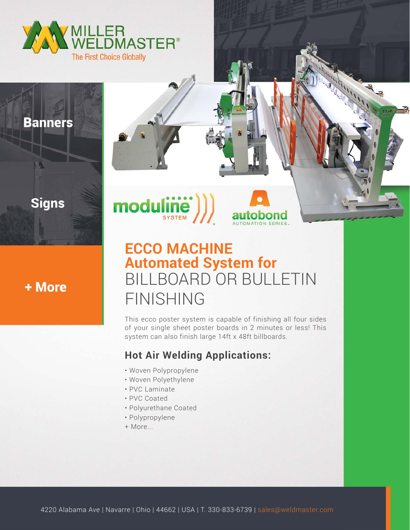

### **Banners**

## **Signs**



# **ECCO MACHINE Automated System for** BILLBOARD OR BULLETIN FINISHING

This ecco poster system is capable of finishing all four sides of your single sheet poster boards in 2 minutes or less! This system can also finish large 14ft x 48ft billboards.

### **Hot Air Welding Applications:**

- Woven Polypropylene
- Woven Polyethylene

 $\textbf{modu}[\textbf{in}\textbf{e}]\big)$ 

- PVC Laminate
- PVC Coated
- Polyurethane Coated
- Polypropylene
- + More...